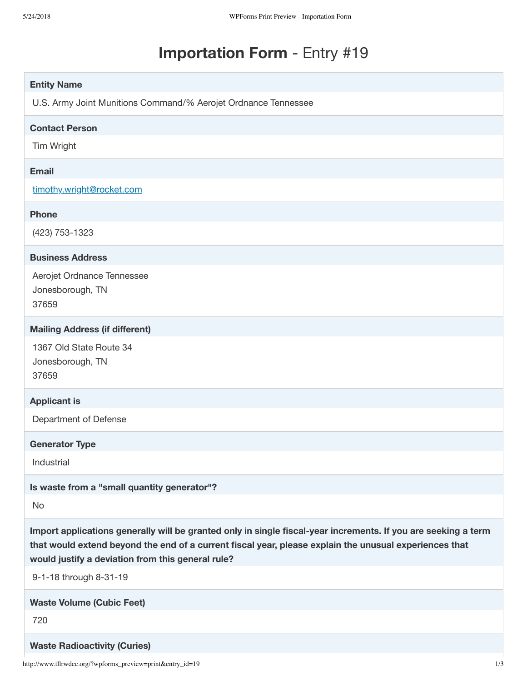# **Importation Form** - Entry #19

| <b>Entity Name</b>                                                                                                                                                                                                                                                            |     |
|-------------------------------------------------------------------------------------------------------------------------------------------------------------------------------------------------------------------------------------------------------------------------------|-----|
| U.S. Army Joint Munitions Command/% Aerojet Ordnance Tennessee                                                                                                                                                                                                                |     |
| <b>Contact Person</b>                                                                                                                                                                                                                                                         |     |
| Tim Wright                                                                                                                                                                                                                                                                    |     |
| <b>Email</b>                                                                                                                                                                                                                                                                  |     |
| timothy.wright@rocket.com                                                                                                                                                                                                                                                     |     |
| <b>Phone</b>                                                                                                                                                                                                                                                                  |     |
| (423) 753-1323                                                                                                                                                                                                                                                                |     |
| <b>Business Address</b>                                                                                                                                                                                                                                                       |     |
| Aerojet Ordnance Tennessee<br>Jonesborough, TN<br>37659                                                                                                                                                                                                                       |     |
| <b>Mailing Address (if different)</b>                                                                                                                                                                                                                                         |     |
| 1367 Old State Route 34<br>Jonesborough, TN<br>37659                                                                                                                                                                                                                          |     |
| <b>Applicant is</b>                                                                                                                                                                                                                                                           |     |
| Department of Defense                                                                                                                                                                                                                                                         |     |
| <b>Generator Type</b>                                                                                                                                                                                                                                                         |     |
| Industrial                                                                                                                                                                                                                                                                    |     |
| Is waste from a "small quantity generator"?                                                                                                                                                                                                                                   |     |
| No                                                                                                                                                                                                                                                                            |     |
| Import applications generally will be granted only in single fiscal-year increments. If you are seeking a term<br>that would extend beyond the end of a current fiscal year, please explain the unusual experiences that<br>would justify a deviation from this general rule? |     |
| 9-1-18 through 8-31-19                                                                                                                                                                                                                                                        |     |
| <b>Waste Volume (Cubic Feet)</b>                                                                                                                                                                                                                                              |     |
| 720                                                                                                                                                                                                                                                                           |     |
| <b>Waste Radioactivity (Curies)</b>                                                                                                                                                                                                                                           |     |
| http://www.tllrwdcc.org/?wpforms_preview=print&entry_id=19                                                                                                                                                                                                                    | 1/3 |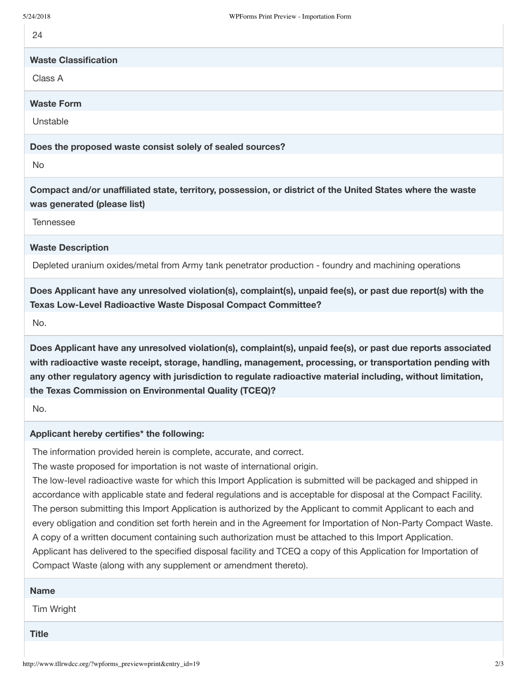## **Waste Classification**

Class A

#### **Waste Form**

Unstable

**Does the proposed waste consist solely of sealed sources?**

No

**Compact and/or unaffiliated state, territory, possession, or district of the United States where the waste was generated (please list)**

Tennessee

#### **Waste Description**

Depleted uranium oxides/metal from Army tank penetrator production - foundry and machining operations

**Does Applicant have any unresolved violation(s), complaint(s), unpaid fee(s), or past due report(s) with the Texas Low-Level Radioactive Waste Disposal Compact Committee?**

No.

**Does Applicant have any unresolved violation(s), complaint(s), unpaid fee(s), or past due reports associated with radioactive waste receipt, storage, handling, management, processing, or transportation pending with any other regulatory agency with jurisdiction to regulate radioactive material including, without limitation, the Texas Commission on Environmental Quality (TCEQ)?**

No.

#### **Applicant hereby certifies\* the following:**

The information provided herein is complete, accurate, and correct.

The waste proposed for importation is not waste of international origin.

The low-level radioactive waste for which this Import Application is submitted will be packaged and shipped in accordance with applicable state and federal regulations and is acceptable for disposal at the Compact Facility. The person submitting this Import Application is authorized by the Applicant to commit Applicant to each and every obligation and condition set forth herein and in the Agreement for Importation of Non-Party Compact Waste. A copy of a written document containing such authorization must be attached to this Import Application. Applicant has delivered to the specified disposal facility and TCEQ a copy of this Application for Importation of Compact Waste (along with any supplement or amendment thereto).

| <b>Name</b>  |  |  |  |
|--------------|--|--|--|
| Tim Wright   |  |  |  |
| <b>Title</b> |  |  |  |